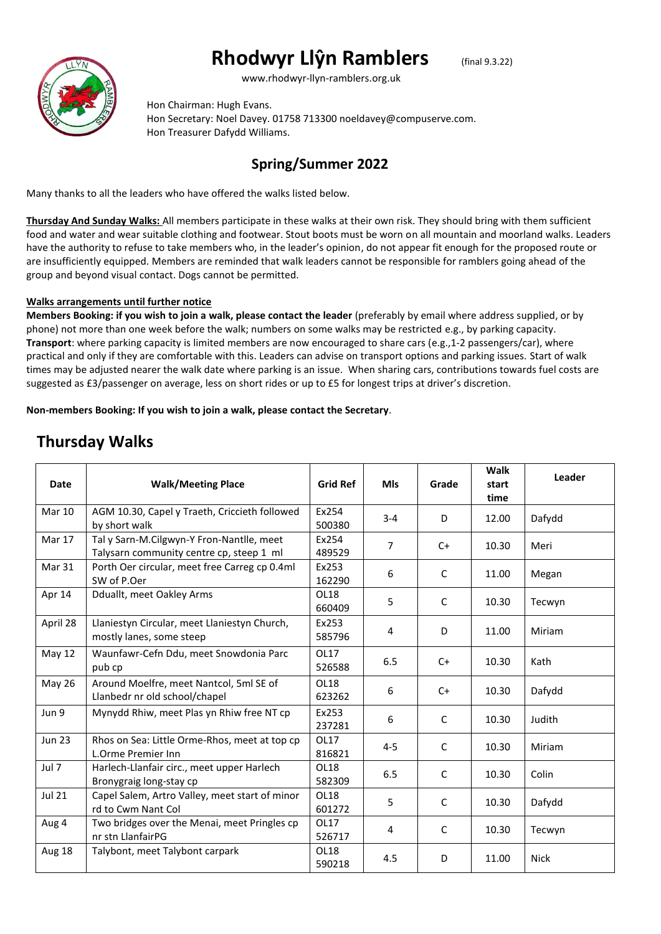# **Rhodwyr Llŷn Ramblers** (final 9.3.22)



www.rhodwyr-llyn-ramblers.org.uk

Hon Chairman: Hugh Evans. Hon Secretary: Noel Davey. 01758 713300 noeldavey@compuserve.com. Hon Treasurer Dafydd Williams.

#### **Spring/Summer 2022**

Many thanks to all the leaders who have offered the walks listed below.

**Thursday And Sunday Walks:** All members participate in these walks at their own risk. They should bring with them sufficient food and water and wear suitable clothing and footwear. Stout boots must be worn on all mountain and moorland walks. Leaders have the authority to refuse to take members who, in the leader's opinion, do not appear fit enough for the proposed route or are insufficiently equipped. Members are reminded that walk leaders cannot be responsible for ramblers going ahead of the group and beyond visual contact. Dogs cannot be permitted.

#### **Walks arrangements until further notice**

**Members Booking: if you wish to join a walk, please contact the leader** (preferably by email where address supplied, or by phone) not more than one week before the walk; numbers on some walks may be restricted e.g., by parking capacity. **Transport**: where parking capacity is limited members are now encouraged to share cars (e.g.,1-2 passengers/car), where practical and only if they are comfortable with this. Leaders can advise on transport options and parking issues. Start of walk times may be adjusted nearer the walk date where parking is an issue. When sharing cars, contributions towards fuel costs are suggested as £3/passenger on average, less on short rides or up to £5 for longest trips at driver's discretion.

**Non-members Booking: If you wish to join a walk, please contact the Secretary**.

## **Thursday Walks**

| <b>Date</b>   | <b>Walk/Meeting Place</b>                                                             | <b>Grid Ref</b> | <b>MIs</b>     | Grade        | Walk<br>start<br>time | Leader      |
|---------------|---------------------------------------------------------------------------------------|-----------------|----------------|--------------|-----------------------|-------------|
| <b>Mar 10</b> | AGM 10.30, Capel y Traeth, Criccieth followed<br>by short walk                        | Ex254<br>500380 | $3 - 4$        | D            | 12.00                 | Dafydd      |
| Mar 17        | Tal y Sarn-M.Cilgwyn-Y Fron-Nantlle, meet<br>Talysarn community centre cp, steep 1 ml | Ex254<br>489529 | $\overline{7}$ | $C+$         | 10.30                 | Meri        |
| Mar 31        | Porth Oer circular, meet free Carreg cp 0.4ml<br>SW of P.Oer                          | Ex253<br>162290 | 6              | C            | 11.00                 | Megan       |
| Apr 14        | Dduallt, meet Oakley Arms                                                             | OL18<br>660409  | 5              | C            | 10.30                 | Tecwyn      |
| April 28      | Llaniestyn Circular, meet Llaniestyn Church,<br>mostly lanes, some steep              | Ex253<br>585796 | 4              | D            | 11.00                 | Miriam      |
| May 12        | Waunfawr-Cefn Ddu, meet Snowdonia Parc<br>pub cp                                      | OL17<br>526588  | 6.5            | $C+$         | 10.30                 | Kath        |
| <b>May 26</b> | Around Moelfre, meet Nantcol, 5ml SE of<br>Llanbedr nr old school/chapel              | OL18<br>623262  | 6              | $C+$         | 10.30                 | Dafydd      |
| Jun 9         | Mynydd Rhiw, meet Plas yn Rhiw free NT cp                                             | Ex253<br>237281 | 6              | $\mathsf{C}$ | 10.30                 | Judith      |
| <b>Jun 23</b> | Rhos on Sea: Little Orme-Rhos, meet at top cp<br>L.Orme Premier Inn                   | OL17<br>816821  | $4 - 5$        | $\mathsf{C}$ | 10.30                 | Miriam      |
| Jul 7         | Harlech-Llanfair circ., meet upper Harlech<br>Bronygraig long-stay cp                 | OL18<br>582309  | 6.5            | $\mathsf{C}$ | 10.30                 | Colin       |
| <b>Jul 21</b> | Capel Salem, Artro Valley, meet start of minor<br>rd to Cwm Nant Col                  | OL18<br>601272  | 5              | $\mathsf{C}$ | 10.30                 | Dafydd      |
| Aug 4         | Two bridges over the Menai, meet Pringles cp<br>nr stn LlanfairPG                     | OL17<br>526717  | 4              | C            | 10.30                 | Tecwyn      |
| Aug 18        | Talybont, meet Talybont carpark                                                       | OL18<br>590218  | 4.5            | D            | 11.00                 | <b>Nick</b> |